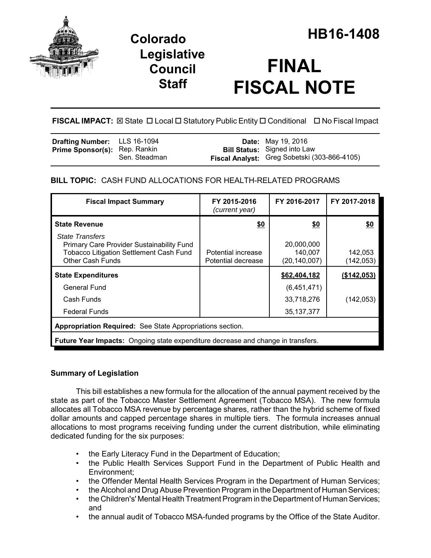

# **Legislative Council Staff**

# **FINAL FISCAL NOTE**

**FISCAL IMPACT:** ⊠ State □ Local □ Statutory Public Entity □ Conditional □ No Fiscal Impact

| <b>Drafting Number:</b> LLS 16-1094  |               | <b>Date:</b> May 19, 2016                    |
|--------------------------------------|---------------|----------------------------------------------|
| <b>Prime Sponsor(s): Rep. Rankin</b> |               | <b>Bill Status:</b> Signed into Law          |
|                                      | Sen. Steadman | Fiscal Analyst: Greg Sobetski (303-866-4105) |

# **BILL TOPIC:** CASH FUND ALLOCATIONS FOR HEALTH-RELATED PROGRAMS

| <b>Fiscal Impact Summary</b>                                                                                                                            | FY 2015-2016<br>(current year)           | FY 2016-2017                          | FY 2017-2018          |  |  |  |
|---------------------------------------------------------------------------------------------------------------------------------------------------------|------------------------------------------|---------------------------------------|-----------------------|--|--|--|
| <b>State Revenue</b>                                                                                                                                    | \$0                                      | \$0                                   | \$0                   |  |  |  |
| <b>State Transfers</b><br><b>Primary Care Provider Sustainability Fund</b><br><b>Tobacco Litigation Settlement Cash Fund</b><br><b>Other Cash Funds</b> | Potential increase<br>Potential decrease | 20,000,000<br>140,007<br>(20,140,007) | 142,053<br>(142, 053) |  |  |  |
| <b>State Expenditures</b>                                                                                                                               |                                          | \$62,404,182                          | (\$142,053)           |  |  |  |
| General Fund                                                                                                                                            |                                          | (6,451,471)                           |                       |  |  |  |
| Cash Funds                                                                                                                                              |                                          | 33,718,276                            | (142, 053)            |  |  |  |
| <b>Federal Funds</b>                                                                                                                                    |                                          | 35, 137, 377                          |                       |  |  |  |
| Appropriation Required: See State Appropriations section.                                                                                               |                                          |                                       |                       |  |  |  |
| <b>Future Year Impacts:</b> Ongoing state expenditure decrease and change in transfers.                                                                 |                                          |                                       |                       |  |  |  |

## **Summary of Legislation**

This bill establishes a new formula for the allocation of the annual payment received by the state as part of the Tobacco Master Settlement Agreement (Tobacco MSA). The new formula allocates all Tobacco MSA revenue by percentage shares, rather than the hybrid scheme of fixed dollar amounts and capped percentage shares in multiple tiers. The formula increases annual allocations to most programs receiving funding under the current distribution, while eliminating dedicated funding for the six purposes:

- the Early Literacy Fund in the Department of Education;
- the Public Health Services Support Fund in the Department of Public Health and Environment;
- the Offender Mental Health Services Program in the Department of Human Services;
- the Alcohol and Drug Abuse Prevention Program in the Department of Human Services;
- the Children's' Mental Health Treatment Program in the Department of Human Services; and
- the annual audit of Tobacco MSA-funded programs by the Office of the State Auditor.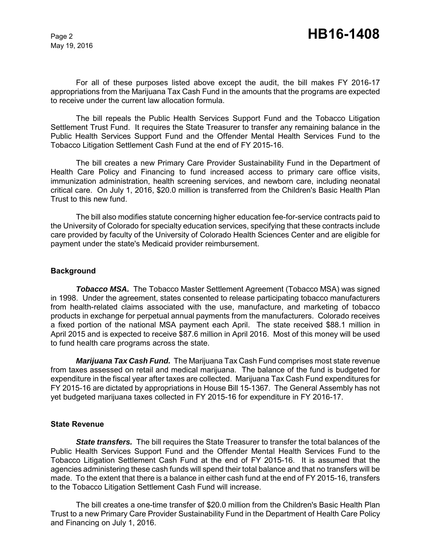For all of these purposes listed above except the audit, the bill makes FY 2016-17 appropriations from the Marijuana Tax Cash Fund in the amounts that the programs are expected to receive under the current law allocation formula.

The bill repeals the Public Health Services Support Fund and the Tobacco Litigation Settlement Trust Fund. It requires the State Treasurer to transfer any remaining balance in the Public Health Services Support Fund and the Offender Mental Health Services Fund to the Tobacco Litigation Settlement Cash Fund at the end of FY 2015-16.

The bill creates a new Primary Care Provider Sustainability Fund in the Department of Health Care Policy and Financing to fund increased access to primary care office visits, immunization administration, health screening services, and newborn care, including neonatal critical care. On July 1, 2016, \$20.0 million is transferred from the Children's Basic Health Plan Trust to this new fund.

The bill also modifies statute concerning higher education fee-for-service contracts paid to the University of Colorado for specialty education services, specifying that these contracts include care provided by faculty of the University of Colorado Health Sciences Center and are eligible for payment under the state's Medicaid provider reimbursement.

#### **Background**

*Tobacco MSA.* The Tobacco Master Settlement Agreement (Tobacco MSA) was signed in 1998. Under the agreement, states consented to release participating tobacco manufacturers from health-related claims associated with the use, manufacture, and marketing of tobacco products in exchange for perpetual annual payments from the manufacturers. Colorado receives a fixed portion of the national MSA payment each April. The state received \$88.1 million in April 2015 and is expected to receive \$87.6 million in April 2016. Most of this money will be used to fund health care programs across the state.

*Marijuana Tax Cash Fund.* The Marijuana Tax Cash Fund comprises most state revenue from taxes assessed on retail and medical marijuana. The balance of the fund is budgeted for expenditure in the fiscal year after taxes are collected. Marijuana Tax Cash Fund expenditures for FY 2015-16 are dictated by appropriations in House Bill 15-1367. The General Assembly has not yet budgeted marijuana taxes collected in FY 2015-16 for expenditure in FY 2016-17.

#### **State Revenue**

*State transfers.* The bill requires the State Treasurer to transfer the total balances of the Public Health Services Support Fund and the Offender Mental Health Services Fund to the Tobacco Litigation Settlement Cash Fund at the end of FY 2015-16. It is assumed that the agencies administering these cash funds will spend their total balance and that no transfers will be made. To the extent that there is a balance in either cash fund at the end of FY 2015-16, transfers to the Tobacco Litigation Settlement Cash Fund will increase.

The bill creates a one-time transfer of \$20.0 million from the Children's Basic Health Plan Trust to a new Primary Care Provider Sustainability Fund in the Department of Health Care Policy and Financing on July 1, 2016.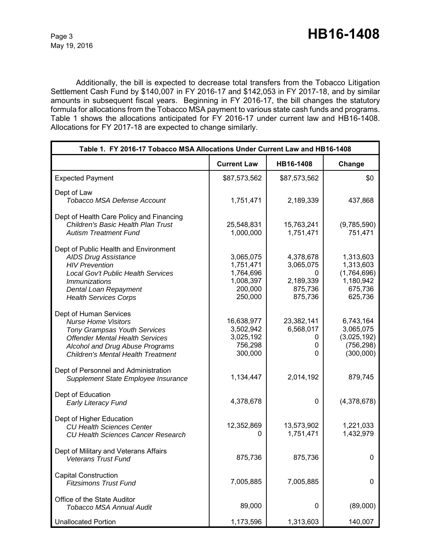Additionally, the bill is expected to decrease total transfers from the Tobacco Litigation Settlement Cash Fund by \$140,007 in FY 2016-17 and \$142,053 in FY 2017-18, and by similar amounts in subsequent fiscal years. Beginning in FY 2016-17, the bill changes the statutory formula for allocations from the Tobacco MSA payment to various state cash funds and programs. Table 1 shows the allocations anticipated for FY 2016-17 under current law and HB16-1408. Allocations for FY 2017-18 are expected to change similarly.

| Table 1. FY 2016-17 Tobacco MSA Allocations Under Current Law and HB16-1408                                                                                                                                           |                                                                        |                                                                |                                                                          |  |
|-----------------------------------------------------------------------------------------------------------------------------------------------------------------------------------------------------------------------|------------------------------------------------------------------------|----------------------------------------------------------------|--------------------------------------------------------------------------|--|
|                                                                                                                                                                                                                       | <b>Current Law</b>                                                     | HB16-1408                                                      | Change                                                                   |  |
| <b>Expected Payment</b>                                                                                                                                                                                               | \$87,573,562                                                           | \$87,573,562                                                   | \$0                                                                      |  |
| Dept of Law<br><b>Tobacco MSA Defense Account</b>                                                                                                                                                                     | 1,751,471                                                              | 2,189,339                                                      | 437,868                                                                  |  |
| Dept of Health Care Policy and Financing<br><b>Children's Basic Health Plan Trust</b><br><b>Autism Treatment Fund</b>                                                                                                 | 25,548,831<br>1,000,000                                                | 15,763,241<br>1,751,471                                        | (9,785,590)<br>751,471                                                   |  |
| Dept of Public Health and Environment<br><b>AIDS Drug Assistance</b><br><b>HIV Prevention</b><br>Local Gov't Public Health Services<br><i>Immunizations</i><br>Dental Loan Repayment<br><b>Health Services Corps</b>  | 3,065,075<br>1,751,471<br>1,764,696<br>1,008,397<br>200,000<br>250,000 | 4,378,678<br>3,065,075<br>0<br>2,189,339<br>875,736<br>875,736 | 1,313,603<br>1,313,603<br>(1,764,696)<br>1,180,942<br>675,736<br>625,736 |  |
| Dept of Human Services<br><b>Nurse Home Visitors</b><br><b>Tony Grampsas Youth Services</b><br><b>Offender Mental Health Services</b><br>Alcohol and Drug Abuse Programs<br><b>Children's Mental Health Treatment</b> | 16,638,977<br>3,502,942<br>3,025,192<br>756,298<br>300,000             | 23,382,141<br>6,568,017<br>0<br>0<br>$\mathbf{0}$              | 6,743,164<br>3,065,075<br>(3,025,192)<br>(756, 298)<br>(300,000)         |  |
| Dept of Personnel and Administration<br>Supplement State Employee Insurance                                                                                                                                           | 1,134,447                                                              | 2,014,192                                                      | 879,745                                                                  |  |
| Dept of Education<br><b>Early Literacy Fund</b>                                                                                                                                                                       | 4,378,678                                                              | 0                                                              | (4,378,678)                                                              |  |
| Dept of Higher Education<br><b>CU Health Sciences Center</b><br><b>CU Health Sciences Cancer Research</b>                                                                                                             | 12,352,869<br>0                                                        | 13,573,902<br>1,751,471                                        | 1,221,033<br>1,432,979                                                   |  |
| Dept of Military and Veterans Affairs<br>Veterans Trust Fund                                                                                                                                                          | 875,736                                                                | 875,736                                                        | 0                                                                        |  |
| <b>Capital Construction</b><br><b>Fitzsimons Trust Fund</b>                                                                                                                                                           | 7,005,885                                                              | 7,005,885                                                      | 0                                                                        |  |
| Office of the State Auditor<br><b>Tobacco MSA Annual Audit</b>                                                                                                                                                        | 89,000                                                                 | 0                                                              | (89,000)                                                                 |  |
| <b>Unallocated Portion</b>                                                                                                                                                                                            | 1,173,596                                                              | 1,313,603                                                      | 140,007                                                                  |  |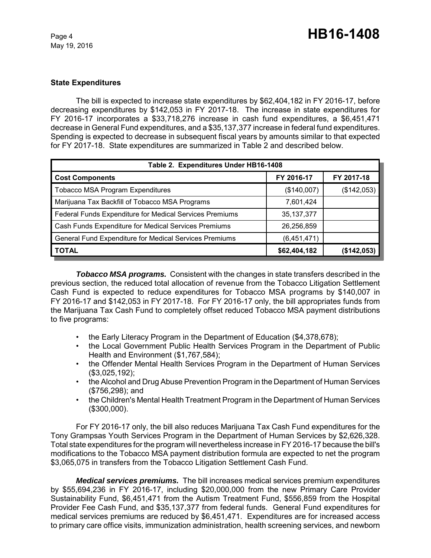## **State Expenditures**

The bill is expected to increase state expenditures by \$62,404,182 in FY 2016-17, before decreasing expenditures by \$142,053 in FY 2017-18. The increase in state expenditures for FY 2016-17 incorporates a \$33,718,276 increase in cash fund expenditures, a \$6,451,471 decrease in General Fund expenditures, and a \$35,137,377 increase in federal fund expenditures. Spending is expected to decrease in subsequent fiscal years by amounts similar to that expected for FY 2017-18. State expenditures are summarized in Table 2 and described below.

| Table 2. Expenditures Under HB16-1408                   |              |             |  |  |  |
|---------------------------------------------------------|--------------|-------------|--|--|--|
| <b>Cost Components</b>                                  | FY 2016-17   | FY 2017-18  |  |  |  |
| <b>Tobacco MSA Program Expenditures</b>                 | (\$140,007)  | (\$142,053) |  |  |  |
| Marijuana Tax Backfill of Tobacco MSA Programs          | 7,601,424    |             |  |  |  |
| Federal Funds Expenditure for Medical Services Premiums | 35, 137, 377 |             |  |  |  |
| Cash Funds Expenditure for Medical Services Premiums    | 26,256,859   |             |  |  |  |
| General Fund Expenditure for Medical Services Premiums  | (6,451,471)  |             |  |  |  |
| <b>TOTAL</b>                                            | \$62,404,182 | (\$142,053) |  |  |  |

*Tobacco MSA programs.* Consistent with the changes in state transfers described in the previous section, the reduced total allocation of revenue from the Tobacco Litigation Settlement Cash Fund is expected to reduce expenditures for Tobacco MSA programs by \$140,007 in FY 2016-17 and \$142,053 in FY 2017-18. For FY 2016-17 only, the bill appropriates funds from the Marijuana Tax Cash Fund to completely offset reduced Tobacco MSA payment distributions to five programs:

- the Early Literacy Program in the Department of Education (\$4,378,678);
- the Local Government Public Health Services Program in the Department of Public Health and Environment (\$1,767,584);
- the Offender Mental Health Services Program in the Department of Human Services (\$3,025,192);
- the Alcohol and Drug Abuse Prevention Program in the Department of Human Services (\$756,298); and
- the Children's Mental Health Treatment Program in the Department of Human Services (\$300,000).

For FY 2016-17 only, the bill also reduces Marijuana Tax Cash Fund expenditures for the Tony Grampsas Youth Services Program in the Department of Human Services by \$2,626,328. Total state expenditures for the program will nevertheless increase in FY 2016-17 because the bill's modifications to the Tobacco MSA payment distribution formula are expected to net the program \$3,065,075 in transfers from the Tobacco Litigation Settlement Cash Fund.

*Medical services premiums.* The bill increases medical services premium expenditures by \$55,694,236 in FY 2016-17, including \$20,000,000 from the new Primary Care Provider Sustainability Fund, \$6,451,471 from the Autism Treatment Fund, \$556,859 from the Hospital Provider Fee Cash Fund, and \$35,137,377 from federal funds. General Fund expenditures for medical services premiums are reduced by \$6,451,471. Expenditures are for increased access to primary care office visits, immunization administration, health screening services, and newborn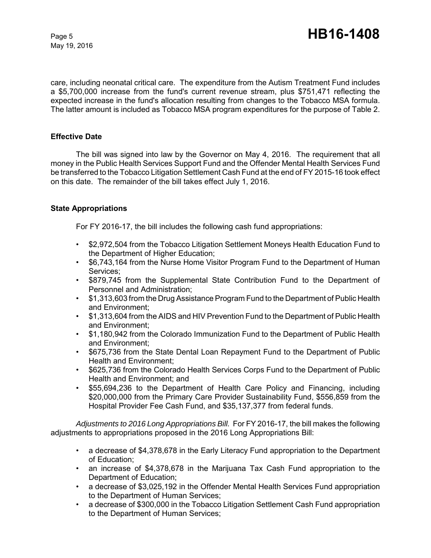care, including neonatal critical care. The expenditure from the Autism Treatment Fund includes a \$5,700,000 increase from the fund's current revenue stream, plus \$751,471 reflecting the expected increase in the fund's allocation resulting from changes to the Tobacco MSA formula. The latter amount is included as Tobacco MSA program expenditures for the purpose of Table 2.

#### **Effective Date**

The bill was signed into law by the Governor on May 4, 2016. The requirement that all money in the Public Health Services Support Fund and the Offender Mental Health Services Fund be transferred to the Tobacco Litigation Settlement Cash Fund at the end of FY 2015-16 took effect on this date. The remainder of the bill takes effect July 1, 2016.

#### **State Appropriations**

For FY 2016-17, the bill includes the following cash fund appropriations:

- \$2,972,504 from the Tobacco Litigation Settlement Moneys Health Education Fund to the Department of Higher Education;
- \$6,743,164 from the Nurse Home Visitor Program Fund to the Department of Human Services;
- \$879,745 from the Supplemental State Contribution Fund to the Department of Personnel and Administration;
- \$1,313,603 from the Drug Assistance Program Fund to the Department of Public Health and Environment;
- \$1,313,604 from the AIDS and HIV Prevention Fund to the Department of Public Health and Environment;
- \$1,180,942 from the Colorado Immunization Fund to the Department of Public Health and Environment;
- \$675,736 from the State Dental Loan Repayment Fund to the Department of Public Health and Environment;
- \$625,736 from the Colorado Health Services Corps Fund to the Department of Public Health and Environment; and
- \$55,694,236 to the Department of Health Care Policy and Financing, including \$20,000,000 from the Primary Care Provider Sustainability Fund, \$556,859 from the Hospital Provider Fee Cash Fund, and \$35,137,377 from federal funds.

*Adjustments to 2016 Long Appropriations Bill.* For FY 2016-17, the bill makes the following adjustments to appropriations proposed in the 2016 Long Appropriations Bill:

- a decrease of \$4,378,678 in the Early Literacy Fund appropriation to the Department of Education;
- an increase of \$4,378,678 in the Marijuana Tax Cash Fund appropriation to the Department of Education;
- a decrease of \$3,025,192 in the Offender Mental Health Services Fund appropriation to the Department of Human Services;
- a decrease of \$300,000 in the Tobacco Litigation Settlement Cash Fund appropriation to the Department of Human Services;